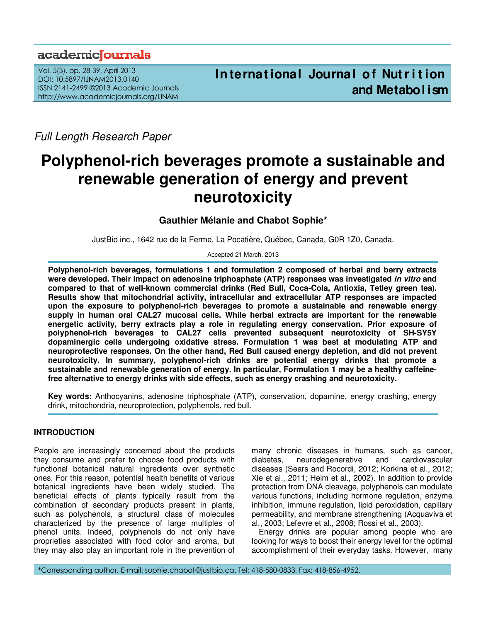## academiclournals

Vol. 5(3), pp. 28-39, April 2013 DOI: 10.5897/IJNAM2013.0140 ISSN 2141-2499 ©2013 Academic Journals http://www.academicjournals.org/IJNAM

Full Length Research Paper

# **Polyphenol-rich beverages promote a sustainable and renewable generation of energy and prevent neurotoxicity**

## **Gauthier Mélanie and Chabot Sophie\***

JustBio inc., 1642 rue de la Ferme, La Pocatière, Québec, Canada, G0R 1Z0, Canada.

Accepted 21 March, 2013

**Polyphenol-rich beverages, formulations 1 and formulation 2 composed of herbal and berry extracts were developed. Their impact on adenosine triphosphate (ATP) responses was investigated in vitro and compared to that of well-known commercial drinks (Red Bull, Coca-Cola, Antioxia, Tetley green tea). Results show that mitochondrial activity, intracellular and extracellular ATP responses are impacted upon the exposure to polyphenol-rich beverages to promote a sustainable and renewable energy supply in human oral CAL27 mucosal cells. While herbal extracts are important for the renewable energetic activity, berry extracts play a role in regulating energy conservation. Prior exposure of polyphenol-rich beverages to CAL27 cells prevented subsequent neurotoxicity of SH-SY5Y dopaminergic cells undergoing oxidative stress. Formulation 1 was best at modulating ATP and neuroprotective responses. On the other hand, Red Bull caused energy depletion, and did not prevent neurotoxicity. In summary, polyphenol-rich drinks are potential energy drinks that promote a sustainable and renewable generation of energy. In particular, Formulation 1 may be a healthy caffeinefree alternative to energy drinks with side effects, such as energy crashing and neurotoxicity.** 

**Key words:** Anthocyanins, adenosine triphosphate (ATP), conservation, dopamine, energy crashing, energy drink, mitochondria, neuroprotection, polyphenols, red bull.

## **INTRODUCTION**

People are increasingly concerned about the products they consume and prefer to choose food products with functional botanical natural ingredients over synthetic ones. For this reason, potential health benefits of various botanical ingredients have been widely studied. The beneficial effects of plants typically result from the combination of secondary products present in plants, such as polyphenols, a structural class of molecules characterized by the presence of large multiples of phenol units. Indeed, polyphenols do not only have proprieties associated with food color and aroma, but they may also play an important role in the prevention of

many chronic diseases in humans, such as cancer, diabetes, neurodegenerative and cardiovascular diseases (Sears and Rocordi, 2012; Korkina et al., 2012; Xie et al., 2011; Heim et al., 2002). In addition to provide protection from DNA cleavage, polyphenols can modulate various functions, including hormone regulation, enzyme inhibition, immune regulation, lipid peroxidation, capillary permeability, and membrane strengthening (Acquaviva et al., 2003; Lefevre et al., 2008; Rossi et al., 2003).

Energy drinks are popular among people who are looking for ways to boost their energy level for the optimal accomplishment of their everyday tasks. However, many

\*Corresponding author. E-mail: sophie.chabot@justbio.ca. Tel: 418-580-0833. Fax: 418-856-4952.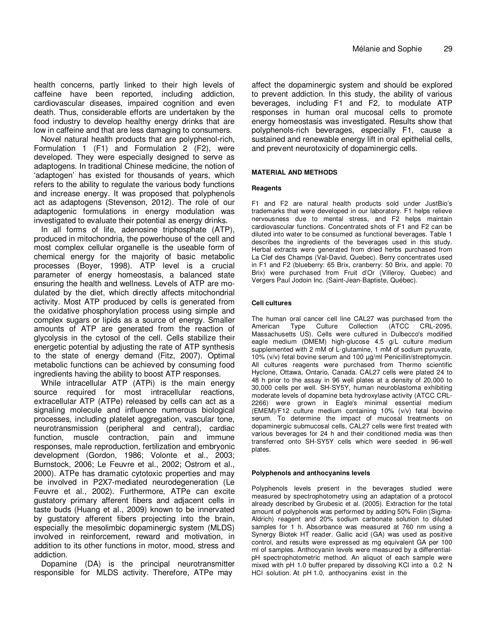health concerns, partly linked to their high levels of caffeine have been reported, including addiction, cardiovascular diseases, impaired cognition and even death. Thus, considerable efforts are undertaken by the food industry to develop healthy energy drinks that are low in caffeine and that are less damaging to consumers.

Novel natural health products that are polyphenol-rich, Formulation 1 (F1) and Formulation 2 (F2), were developed. They were especially designed to serve as adaptogens. In traditional Chinese medicine, the notion of 'adaptogen' has existed for thousands of years, which refers to the ability to regulate the various body functions and increase energy. It was proposed that polyphenols act as adaptogens (Stevenson, 2012). The role of our adaptogenic formulations in energy modulation was investigated to evaluate their potential as energy drinks.

In all forms of life, adenosine triphosphate (ATP), produced in mitochondria, the powerhouse of the cell and most complex cellular organelle is the useable form of chemical energy for the majority of basic metabolic processes (Boyer, 1998). ATP level is a crucial parameter of energy homeostasis, a balanced state ensuring the health and wellness. Levels of ATP are modulated by the diet, which directly affects mitochondrial activity. Most ATP produced by cells is generated from the oxidative phosphorylation process using simple and complex sugars or lipids as a source of energy. Smaller amounts of ATP are generated from the reaction of glycolysis in the cytosol of the cell. Cells stabilize their energetic potential by adjusting the rate of ATP synthesis to the state of energy demand (Fitz, 2007). Optimal metabolic functions can be achieved by consuming food ingredients having the ability to boost ATP responses.

While intracellular ATP (ATPi) is the main energy source required for most intracellular reactions, extracellular ATP (ATPe) released by cells can act as a signaling molecule and influence numerous biological processes, including platelet aggregation, vascular tone, neurotransmission (peripheral and central), cardiac function, muscle contraction, pain and immune responses, male reproduction, fertilization and embryonic development (Gordon, 1986; Volonte et al., 2003; Burnstock, 2006; Le Feuvre et al., 2002; Ostrom et al., 2000). ATPe has dramatic cytotoxic properties and may be involved in P2X7-mediated neurodegeneration (Le Feuvre et al., 2002). Furthermore, ATPe can excite gustatory primary afferent fibers and adjacent cells in taste buds (Huang et al., 2009) known to be innervated by gustatory afferent fibers projecting into the brain, especially the mesolimbic dopaminergic system (MLDS) involved in reinforcement, reward and motivation, in addition to its other functions in motor, mood, stress and addiction.

Dopamine (DA) is the principal neurotransmitter responsible for MLDS activity. Therefore, ATPe may

affect the dopaminergic system and should be explored to prevent addiction. In this study, the ability of various beverages, including F1 and F2, to modulate ATP responses in human oral mucosal cells to promote energy homeostasis was investigated. Results show that polyphenols-rich beverages, especially F1, cause a sustained and renewable energy lift in oral epithelial cells, and prevent neurotoxicity of dopaminergic cells.

## **MATERIAL AND METHODS**

#### **Reagents**

F1 and F2 are natural health products sold under JustBio's trademarks that were developed in our laboratory. F1 helps relieve nervousness due to mental stress, and F2 helps maintain cardiovascular functions. Concentrated shots of F1 and F2 can be diluted into water to be consumed as functional beverages. Table 1 describes the ingredients of the beverages used in this study. Herbal extracts were generated from dried herbs purchased from La Clef des Champs (Val-David, Quebec). Berry concentrates used in F1 and F2 (blueberry: 65 Brix, cranberry: 50 Brix, and apple: 70 Brix) were purchased from Fruit d'Or (Villeroy, Quebec) and Vergers Paul Jodoin Inc. (Saint-Jean-Baptiste, Québec).

## **Cell cultures**

The human oral cancer cell line CAL27 was purchased from the American Type Culture Collection (ATCC CRL-2095, Massachusetts US). Cells were cultured in Dulbecco's modified eagle medium (DMEM) high-glucose 4.5 g/L culture medium supplemented with 2 mM of L-glutamine, 1 mM of sodium pyruvate, 10% (v/v) fetal bovine serum and 100 µg/ml Penicillin/streptomycin. All cultures reagents were purchased from Thermo scientific Hyclone, Ottawa, Ontario, Canada. CAL27 cells were plated 24 to 48 h prior to the assay in 96 well plates at a density of 20,000 to 30,000 cells per well. SH-SY5Y, human neuroblastoma exhibiting moderate levels of dopamine beta hydroxylase activity (ATCC CRL-2266) were grown in Eagle's minimal essential medium (EMEM)/F12 culture medium containing 10% (v/v) fetal bovine serum. To determine the impact of mucosal treatments on dopaminergic submucosal cells, CAL27 cells were first treated with various beverages for 24 h and their conditioned media was then transferred onto SH-SY5Y cells which were seeded in 96-well plates.

#### **Polyphenols and anthocyanins levels**

Polyphenols levels present in the beverages studied were measured by spectrophotometry using an adaptation of a protocol already described by Grubesic et al. (2005). Extraction for the total amount of polyphenols was performed by adding 50% Folin (Sigma-Aldrich) reagent and 20% sodium carbonate solution to diluted samples for 1 h. Absorbance was measured at 760 nm using a Synergy Biotek HT reader. Gallic acid (GA) was used as positive control, and results were expressed as mg equivalent GA per 100 ml of samples. Anthocyanin levels were measured by a differentialpH spectrophotometric method. An aliquot of each sample were mixed with pH 1.0 buffer prepared by dissolving KCl into a 0.2 N HCl solution. At pH 1.0, anthocyanins exist in the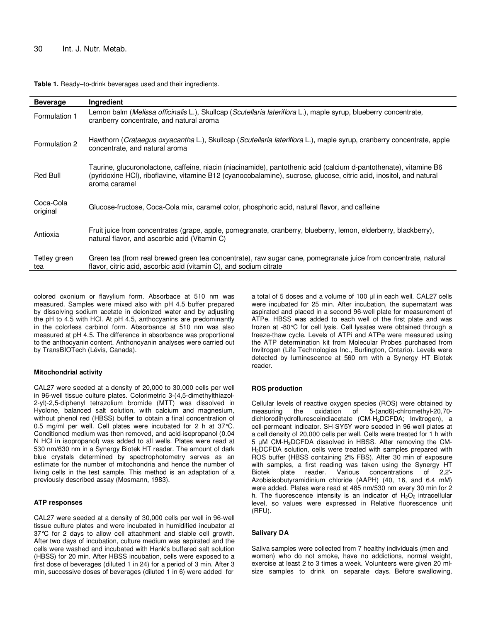#### **Table 1.** Ready–to-drink beverages used and their ingredients.

| <b>Beverage</b>       | <b>Ingredient</b>                                                                                                                                                                                                                                         |
|-----------------------|-----------------------------------------------------------------------------------------------------------------------------------------------------------------------------------------------------------------------------------------------------------|
| Formulation 1         | Lemon balm (Melissa officinalis L.), Skullcap (Scutellaria lateriflora L.), maple syrup, blueberry concentrate,<br>cranberry concentrate, and natural aroma                                                                                               |
| Formulation 2         | Hawthorn (Crataegus oxyacantha L.), Skullcap (Scutellaria lateriflora L.), maple syrup, cranberry concentrate, apple<br>concentrate, and natural aroma                                                                                                    |
| Red Bull              | Taurine, glucuronolactone, caffeine, niacin (niacinamide), pantothenic acid (calcium d-pantothenate), vitamine B6<br>(pyridoxine HCI), riboflavine, vitamine B12 (cyanocobalamine), sucrose, glucose, citric acid, inositol, and natural<br>aroma caramel |
| Coca-Cola<br>original | Glucose-fructose, Coca-Cola mix, caramel color, phosphoric acid, natural flavor, and caffeine                                                                                                                                                             |
| Antioxia              | Fruit juice from concentrates (grape, apple, pomegranate, cranberry, blueberry, lemon, elderberry, blackberry),<br>natural flavor, and ascorbic acid (Vitamin C)                                                                                          |
| Tetley green<br>tea   | Green tea (from real brewed green tea concentrate), raw sugar cane, pomegranate juice from concentrate, natural<br>flavor, citric acid, ascorbic acid (vitamin C), and sodium citrate                                                                     |

colored oxonium or flavylium form. Absorbace at 510 nm was measured. Samples were mixed also with pH 4.5 buffer prepared by dissolving sodium acetate in deionized water and by adjusting the pH to 4.5 with HCl. At pH 4.5, anthocyanins are predominantly in the colorless carbinol form. Absorbance at 510 nm was also measured at pH 4.5. The difference in absorbance was proportional to the anthocyanin content. Anthoncyanin analyses were carried out by TransBIOTech (Lévis, Canada).

#### **Mitochondrial activity**

CAL27 were seeded at a density of 20,000 to 30,000 cells per well in 96-well tissue culture plates. Colorimetric 3-(4,5-dimethylthiazol-2-yl)-2,5-diphenyl tetrazolium bromide (MTT) was dissolved in Hyclone, balanced salt solution, with calcium and magnesium, without phenol red (HBSS) buffer to obtain a final concentration of 0.5 mg/ml per well. Cell plates were incubated for 2 h at 37°C. Conditioned medium was then removed, and acid-isopropanol (0.04 N HCl in isopropanol) was added to all wells. Plates were read at 530 nm/630 nm in a Synergy Biotek HT reader. The amount of dark blue crystals determined by spectrophotometry serves as an estimate for the number of mitochondria and hence the number of living cells in the test sample. This method is an adaptation of a previously described assay (Mosmann, 1983).

#### **ATP responses**

CAL27 were seeded at a density of 30,000 cells per well in 96-well tissue culture plates and were incubated in humidified incubator at 37°C for 2 days to allow cell attachment and stable cell growth. After two days of incubation, culture medium was aspirated and the cells were washed and incubated with Hank's buffered salt solution (HBSS) for 20 min. After HBSS incubation, cells were exposed to a first dose of beverages (diluted 1 in 24) for a period of 3 min. After 3 min, successive doses of beverages (diluted 1 in 6) were added for

a total of 5 doses and a volume of 100 µl in each well. CAL27 cells were incubated for 25 min. After incubation, the supernatant was aspirated and placed in a second 96-well plate for measurement of ATPe. HBSS was added to each well of the first plate and was frozen at -80°C for cell lysis. Cell lysates were obtained through a freeze-thaw cycle. Levels of ATPi and ATPe were measured using the ATP determination kit from Molecular Probes purchased from Invitrogen (Life Technologies Inc., Burlington, Ontario). Levels were detected by luminescence at 560 nm with a Synergy HT Biotek reader.

#### **ROS production**

Cellular levels of reactive oxygen species (ROS) were obtained by measuring the oxidation of 5-(and6)-chlromethyl-20,70 dichlorodihydrofluresceindiacetate (CM-H2DCFDA; Invitrogen), a cell-permeant indicator. SH-SY5Y were seeded in 96-well plates at a cell density of 20,000 cells per well. Cells were treated for 1 h with 5 µM CM-H2DCFDA dissolved in HBSS. After removing the CM-H<sub>2</sub>DCFDA solution, cells were treated with samples prepared with ROS buffer (HBSS containing 2% FBS). After 30 min of exposure with samples, a first reading was taken using the Synergy HT Biotek plate reader. Various concentrations of 2,2'- Azobisisobutyramidinium chloride (AAPH) (40, 16, and 6.4 mM) were added. Plates were read at 485 nm/530 nm every 30 min for 2 h. The fluorescence intensity is an indicator of  $H_2O_2$  intracellular level, so values were expressed in Relative fluorescence unit (RFU).

#### **Salivary DA**

Saliva samples were collected from 7 healthy individuals (men and women) who do not smoke, have no addictions, normal weight, exercise at least 2 to 3 times a week. Volunteers were given 20 mlsize samples to drink on separate days. Before swallowing,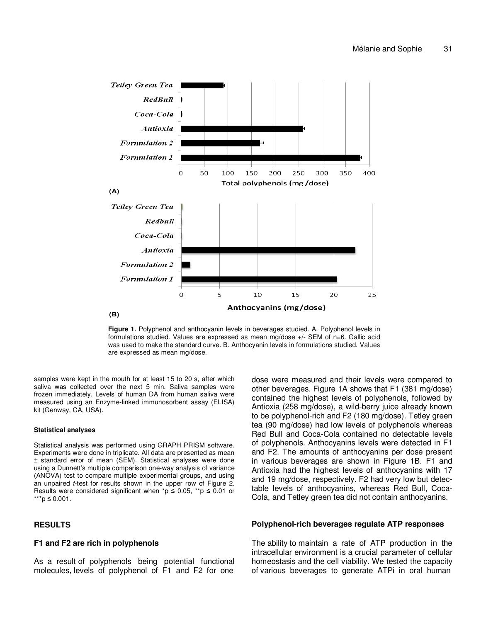

**Figure 1.** Polyphenol and anthocyanin levels in beverages studied. A. Polyphenol levels in formulations studied. Values are expressed as mean mg/dose +/- SEM of n=6. Gallic acid was used to make the standard curve. B. Anthocyanin levels in formulations studied. Values are expressed as mean mg/dose.

samples were kept in the mouth for at least 15 to 20 s, after which saliva was collected over the next 5 min. Saliva samples were frozen immediately. Levels of human DA from human saliva were measured using an Enzyme-linked immunosorbent assay (ELISA) kit (Genway, CA, USA).

#### **Statistical analyses**

Statistical analysis was performed using GRAPH PRISM software. Experiments were done in triplicate. All data are presented as mean ± standard error of mean (SEM). Statistical analyses were done using a Dunnett's multiple comparison one-way analysis of variance (ANOVA) test to compare multiple experimental groups, and using an unpaired *t*-test for results shown in the upper row of Figure 2. Results were considered significant when  $p \leq 0.05$ , \*\*p  $\leq 0.01$  or \*\*\*p ≤ 0.001.

## **RESULTS**

## **F1 and F2 are rich in polyphenols**

As a result of polyphenols being potential functional molecules, levels of polyphenol of F1 and F2 for one

dose were measured and their levels were compared to other beverages. Figure 1A shows that F1 (381 mg/dose) contained the highest levels of polyphenols, followed by Antioxia (258 mg/dose), a wild-berry juice already known to be polyphenol-rich and F2 (180 mg/dose). Tetley green tea (90 mg/dose) had low levels of polyphenols whereas Red Bull and Coca-Cola contained no detectable levels of polyphenols. Anthocyanins levels were detected in F1 and F2. The amounts of anthocyanins per dose present in various beverages are shown in Figure 1B. F1 and Antioxia had the highest levels of anthocyanins with 17 and 19 mg/dose, respectively. F2 had very low but detectable levels of anthocyanins, whereas Red Bull, Coca-Cola, and Tetley green tea did not contain anthocyanins.

#### **Polyphenol-rich beverages regulate ATP responses**

The ability to maintain a rate of ATP production in the intracellular environment is a crucial parameter of cellular homeostasis and the cell viability. We tested the capacity of various beverages to generate ATPi in oral human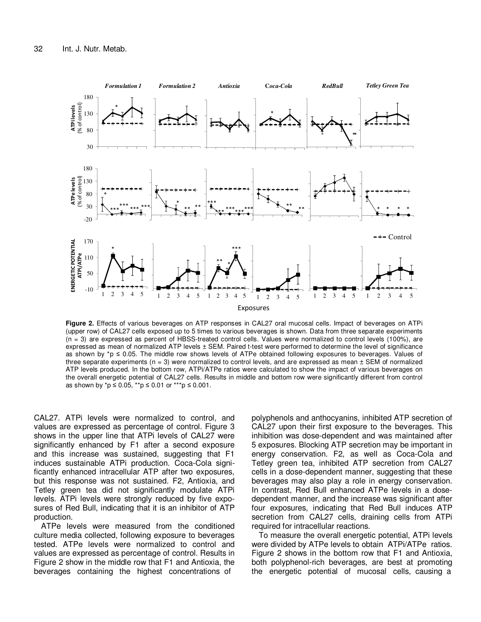

**Figure 2.** Effects of various beverages on ATP responses in CAL27 oral mucosal cells. Impact of beverages on ATPi (upper row) of CAL27 cells exposed up to 5 times to various beverages is shown. Data from three separate experiments (n = 3) are expressed as percent of HBSS-treated control cells. Values were normalized to control levels (100%), are expressed as mean of normalized ATP levels ± SEM. Paired t-test were performed to determine the level of significance as shown by \*p ≤ 0.05. The middle row shows levels of ATPe obtained following exposures to beverages. Values of three separate experiments  $(n = 3)$  were normalized to control levels, and are expressed as mean  $\pm$  SEM of normalized ATP levels produced. In the bottom row, ATPi/ATPe ratios were calculated to show the impact of various beverages on the overall energetic potential of CAL27 cells. Results in middle and bottom row were significantly different from control as shown by \*p ≤ 0.05, \*\*p ≤ 0.01 or \*\*\*p ≤ 0.001.

CAL27. ATPi levels were normalized to control, and values are expressed as percentage of control. Figure 3 shows in the upper line that ATPi levels of CAL27 were significantly enhanced by F1 after a second exposure and this increase was sustained, suggesting that F1 induces sustainable ATPi production. Coca-Cola significantly enhanced intracellular ATP after two exposures, but this response was not sustained. F2, Antioxia, and Tetley green tea did not significantly modulate ATPi levels. ATPi levels were strongly reduced by five exposures of Red Bull, indicating that it is an inhibitor of ATP production.

ATPe levels were measured from the conditioned culture media collected, following exposure to beverages tested. ATPe levels were normalized to control and values are expressed as percentage of control. Results in Figure 2 show in the middle row that F1 and Antioxia, the beverages containing the highest concentrations of

polyphenols and anthocyanins, inhibited ATP secretion of CAL27 upon their first exposure to the beverages. This inhibition was dose-dependent and was maintained after 5 exposures. Blocking ATP secretion may be important in energy conservation. F2, as well as Coca-Cola and Tetley green tea, inhibited ATP secretion from CAL27 cells in a dose-dependent manner, suggesting that these beverages may also play a role in energy conservation. In contrast, Red Bull enhanced ATPe levels in a dosedependent manner, and the increase was significant after four exposures, indicating that Red Bull induces ATP secretion from CAL27 cells, draining cells from ATPi required for intracellular reactions.

To measure the overall energetic potential, ATPi levels were divided by ATPe levels to obtain ATPi/ATPe ratios. Figure 2 shows in the bottom row that F1 and Antioxia, both polyphenol-rich beverages, are best at promoting the energetic potential of mucosal cells, causing a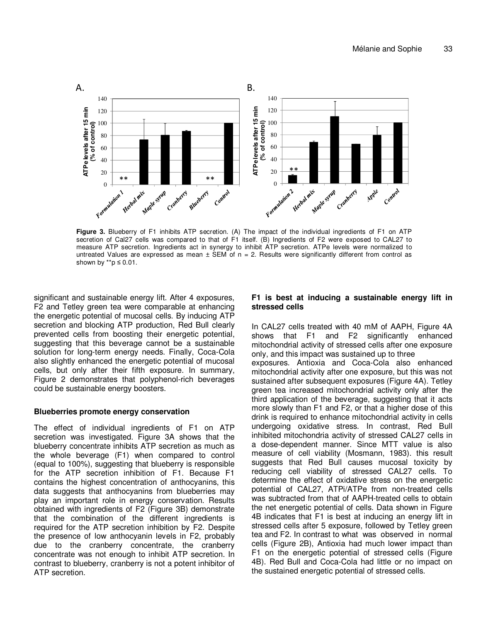

**Figure 3.** Blueberry of F1 inhibits ATP secretion. (A) The impact of the individual ingredients of F1 on ATP secretion of Cal27 cells was compared to that of F1 itself. (B) Ingredients of F2 were exposed to CAL27 to measure ATP secretion. Ingredients act in synergy to inhibit ATP secretion. ATPe levels were normalized to untreated Values are expressed as mean  $\pm$  SEM of  $n = 2$ . Results were significantly different from control as shown by  $*$ <sup>\*</sup>p  $\leq$  0.01.

significant and sustainable energy lift. After 4 exposures, F2 and Tetley green tea were comparable at enhancing the energetic potential of mucosal cells. By inducing ATP secretion and blocking ATP production, Red Bull clearly prevented cells from boosting their energetic potential, suggesting that this beverage cannot be a sustainable solution for long-term energy needs. Finally, Coca-Cola also slightly enhanced the energetic potential of mucosal cells, but only after their fifth exposure. In summary, Figure 2 demonstrates that polyphenol-rich beverages could be sustainable energy boosters.

#### **Blueberries promote energy conservation**

The effect of individual ingredients of F1 on ATP secretion was investigated. Figure 3A shows that the blueberry concentrate inhibits ATP secretion as much as the whole beverage (F1) when compared to control (equal to 100%), suggesting that blueberry is responsible for the ATP secretion inhibition of F1. Because F1 contains the highest concentration of anthocyanins, this data suggests that anthocyanins from blueberries may play an important role in energy conservation. Results obtained with ingredients of F2 (Figure 3B) demonstrate that the combination of the different ingredients is required for the ATP secretion inhibition by F2. Despite the presence of low anthocyanin levels in F2, probably due to the cranberry concentrate, the cranberry concentrate was not enough to inhibit ATP secretion. In contrast to blueberry, cranberry is not a potent inhibitor of ATP secretion.

## **F1 is best at inducing a sustainable energy lift in stressed cells**

In CAL27 cells treated with 40 mM of AAPH, Figure 4A shows that F1 and F2 significantly enhanced mitochondrial activity of stressed cells after one exposure only, and this impact was sustained up to three exposures. Antioxia and Coca-Cola also enhanced mitochondrial activity after one exposure, but this was not sustained after subsequent exposures (Figure 4A). Tetley green tea increased mitochondrial activity only after the third application of the beverage, suggesting that it acts more slowly than F1 and F2, or that a higher dose of this drink is required to enhance mitochondrial activity in cells undergoing oxidative stress. In contrast, Red Bull inhibited mitochondria activity of stressed CAL27 cells in a dose-dependent manner. Since MTT value is also measure of cell viability (Mosmann, 1983). this result suggests that Red Bull causes mucosal toxicity by reducing cell viability of stressed CAL27 cells. To determine the effect of oxidative stress on the energetic potential of CAL27, ATPi/ATPe from non-treated cells was subtracted from that of AAPH-treated cells to obtain the net energetic potential of cells. Data shown in Figure 4B indicates that F1 is best at inducing an energy lift in stressed cells after 5 exposure, followed by Tetley green tea and F2. In contrast to what was observed in normal cells (Figure 2B), Antioxia had much lower impact than F1 on the energetic potential of stressed cells (Figure 4B). Red Bull and Coca-Cola had little or no impact on the sustained energetic potential of stressed cells.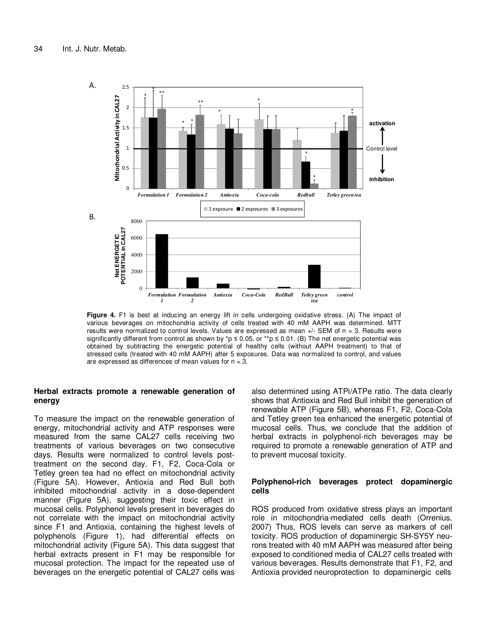

**Figure 4.** F1 is best at inducing an energy lift in cells undergoing oxidative stress. (A) The impact of various beverages on mitochondria activity of cells treated with 40 mM AAPH was determined. MTT results were normalized to control levels. Values are expressed as mean  $+/-$  SEM of  $n = 3$ . Results were significantly different from control as shown by \*p  $\leq$  0.05, or \*\*p  $\leq$  0.01. (B) The net energetic potential was obtained by subtracting the energetic potential of healthy cells (without AAPH treatment) to that of stressed cells (treated with 40 mM AAPH) after 5 exposures. Data was normalized to control, and values are expressed as differences of mean values for  $n = 3$ .

## **Herbal extracts promote a renewable generation of energy**

To measure the impact on the renewable generation of energy, mitochondrial activity and ATP responses were measured from the same CAL27 cells receiving two treatments of various beverages on two consecutive days. Results were normalized to control levels posttreatment on the second day. F1, F2, Coca-Cola or Tetley green tea had no effect on mitochondrial activity (Figure 5A). However, Antioxia and Red Bull both inhibited mitochondrial activity in a dose-dependent manner (Figure 5A), suggesting their toxic effect in mucosal cells. Polyphenol levels present in beverages do not correlate with the impact on mitochondrial activity since F1 and Antioxia, containing the highest levels of polyphenols (Figure 1), had differential effects on mitochondrial activity (Figure 5A). This data suggest that herbal extracts present in F1 may be responsible for mucosal protection. The impact for the repeated use of beverages on the energetic potential of CAL27 cells was

also determined using ATPi/ATPe ratio. The data clearly shows that Antioxia and Red Bull inhibit the generation of renewable ATP (Figure 5B), whereas F1, F2, Coca-Cola and Tetley green tea enhanced the energetic potential of mucosal cells. Thus, we conclude that the addition of herbal extracts in polyphenol-rich beverages may be required to promote a renewable generation of ATP and to prevent mucosal toxicity.

## **Polyphenol-rich beverages protect dopaminergic cells**

ROS produced from oxidative stress plays an important role in mitochondria-mediated cells death (Orrenius, 2007) Thus, ROS levels can serve as markers of cell toxicity. ROS production of dopaminergic SH-SY5Y neurons treated with 40 mM AAPH was measured after being exposed to conditioned media of CAL27 cells treated with various beverages. Results demonstrate that F1, F2, and Antioxia provided neuroprotection to dopaminergic cells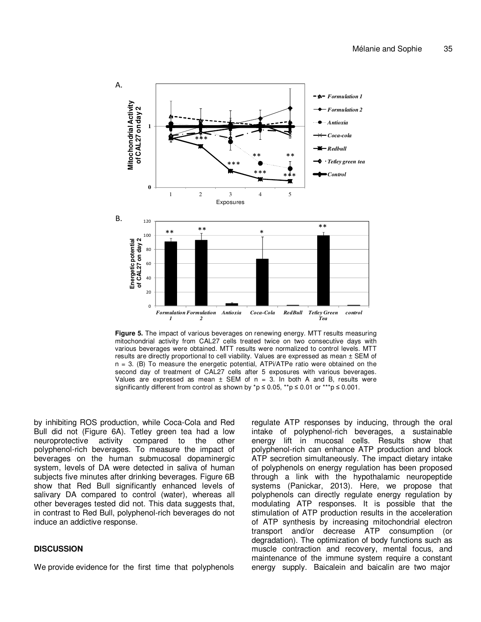

**Figure 5.** The impact of various beverages on renewing energy. MTT results measuring mitochondrial activity from CAL27 cells treated twice on two consecutive days with various beverages were obtained. MTT results were normalized to control levels. MTT results are directly proportional to cell viability. Values are expressed as mean ± SEM of  $n = 3$ . (B) To measure the energetic potential, ATPi/ATPe ratio were obtained on the second day of treatment of CAL27 cells after 5 exposures with various beverages. Values are expressed as mean  $\pm$  SEM of n = 3. In both A and B, results were significantly different from control as shown by \*p  $\leq$  0.05, \*\*p  $\leq$  0.01 or \*\*\*p  $\leq$  0.001.

by inhibiting ROS production, while Coca-Cola and Red Bull did not (Figure 6A). Tetley green tea had a low neuroprotective activity compared to the other polyphenol-rich beverages. To measure the impact of beverages on the human submucosal dopaminergic system, levels of DA were detected in saliva of human subjects five minutes after drinking beverages. Figure 6B show that Red Bull significantly enhanced levels of salivary DA compared to control (water), whereas all other beverages tested did not. This data suggests that, in contrast to Red Bull, polyphenol-rich beverages do not induce an addictive response.

## **DISCUSSION**

We provide evidence for the first time that polyphenols

regulate ATP responses by inducing, through the oral intake of polyphenol-rich beverages, a sustainable energy lift in mucosal cells. Results show that polyphenol-rich can enhance ATP production and block ATP secretion simultaneously. The impact dietary intake of polyphenols on energy regulation has been proposed through a link with the hypothalamic neuropeptide systems (Panickar, 2013). Here, we propose that polyphenols can directly regulate energy regulation by modulating ATP responses. It is possible that the stimulation of ATP production results in the acceleration of ATP synthesis by increasing mitochondrial electron transport and/or decrease ATP consumption (or degradation). The optimization of body functions such as muscle contraction and recovery, mental focus, and maintenance of the immune system require a constant energy supply. Baicalein and baicalin are two major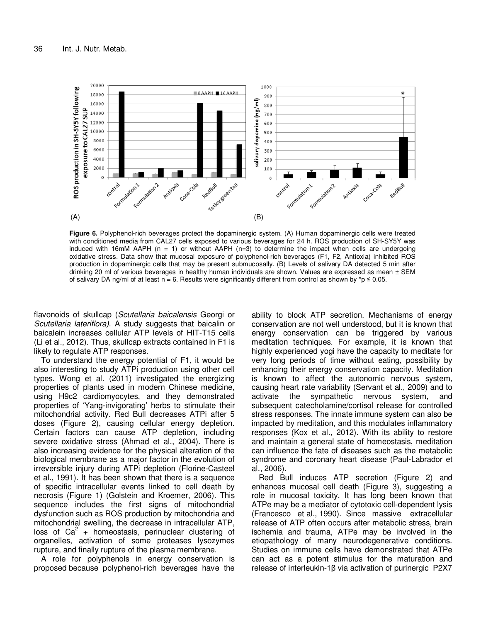

**Figure 6.** Polyphenol-rich beverages protect the dopaminergic system. (A) Human dopaminergic cells were treated with conditioned media from CAL27 cells exposed to various beverages for 24 h. ROS production of SH-SY5Y was induced with 16mM AAPH (n = 1) or without AAPH (n=3) to determine the impact when cells are undergoing oxidative stress. Data show that mucosal exposure of polyphenol-rich beverages (F1, F2, Antioxia) inhibited ROS production in dopaminergic cells that may be present submucosally. (B) Levels of salivary DA detected 5 min after drinking 20 ml of various beverages in healthy human individuals are shown. Values are expressed as mean  $\pm$  SEM of salivary DA ng/ml of at least n = 6. Results were significantly different from control as shown by  $^*p \le 0.05$ .

flavonoids of skullcap (Scutellaria baicalensis Georgi or Scutellaria lateriflora). A study suggests that baicalin or baicalein increases cellular ATP levels of HIT-T15 cells (Li et al., 2012). Thus, skullcap extracts contained in F1 is likely to regulate ATP responses.

To understand the energy potential of F1, it would be also interesting to study ATPi production using other cell types. Wong et al. (2011) investigated the energizing properties of plants used in modern Chinese medicine, using H9c2 cardiomyocytes, and they demonstrated properties of 'Yang-invigorating' herbs to stimulate their mitochondrial activity. Red Bull decreases ATPi after 5 doses (Figure 2), causing cellular energy depletion. Certain factors can cause ATP depletion, including severe oxidative stress (Ahmad et al., 2004). There is also increasing evidence for the physical alteration of the biological membrane as a major factor in the evolution of irreversible injury during ATPi depletion (Florine-Casteel et al., 1991). It has been shown that there is a sequence of specific intracellular events linked to cell death by necrosis (Figure 1) (Golstein and Kroemer, 2006). This sequence includes the first signs of mitochondrial dysfunction such as ROS production by mitochondria and mitochondrial swelling, the decrease in intracellular ATP, loss of  $Ca<sup>2</sup>$  + homeostasis, perinuclear clustering of organelles, activation of some proteases lysozymes rupture, and finally rupture of the plasma membrane.

A role for polyphenols in energy conservation is proposed because polyphenol-rich beverages have the

ability to block ATP secretion. Mechanisms of energy conservation are not well understood, but it is known that energy conservation can be triggered by various meditation techniques. For example, it is known that highly experienced yogi have the capacity to meditate for very long periods of time without eating, possibility by enhancing their energy conservation capacity. Meditation is known to affect the autonomic nervous system, causing heart rate variability (Servant et al., 2009) and to activate the sympathetic nervous system, and subsequent catecholamine/cortisol release for controlled stress responses. The innate immune system can also be impacted by meditation, and this modulates inflammatory responses (Kox et al., 2012). With its ability to restore and maintain a general state of homeostasis, meditation can influence the fate of diseases such as the metabolic syndrome and coronary heart disease (Paul-Labrador et al., 2006).

Red Bull induces ATP secretion (Figure 2) and enhances mucosal cell death (Figure 3), suggesting a role in mucosal toxicity. It has long been known that ATPe may be a mediator of cytotoxic cell-dependent lysis (Francesco et al., 1990). Since massive extracellular release of ATP often occurs after metabolic stress, brain ischemia and trauma, ATPe may be involved in the etiopathology of many neurodegenerative conditions. Studies on immune cells have demonstrated that ATPe can act as a potent stimulus for the maturation and release of interleukin-1β via activation of purinergic P2X7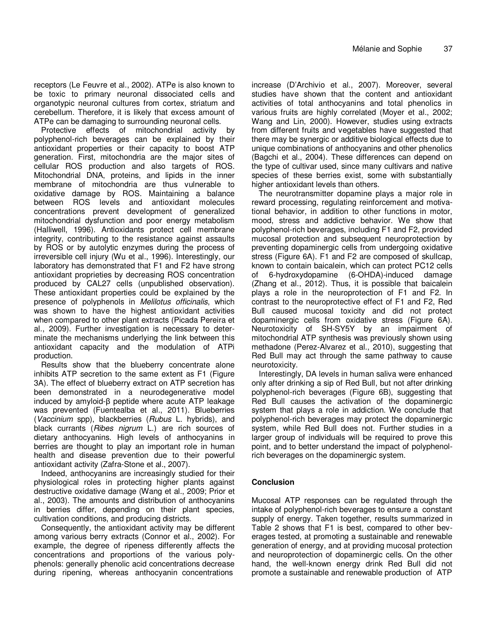receptors (Le Feuvre et al., 2002). ATPe is also known to be toxic to primary neuronal dissociated cells and organotypic neuronal cultures from cortex, striatum and cerebellum. Therefore, it is likely that excess amount of ATPe can be damaging to surrounding neuronal cells.

Protective effects of mitochondrial activity by polyphenol-rich beverages can be explained by their antioxidant properties or their capacity to boost ATP generation. First, mitochondria are the major sites of cellular ROS production and also targets of ROS. Mitochondrial DNA, proteins, and lipids in the inner membrane of mitochondria are thus vulnerable to oxidative damage by ROS. Maintaining a balance between ROS levels and antioxidant molecules concentrations prevent development of generalized mitochondrial dysfunction and poor energy metabolism (Halliwell, 1996). Antioxidants protect cell membrane integrity, contributing to the resistance against assaults by ROS or by autolytic enzymes during the process of irreversible cell injury (Wu et al., 1996). Interestingly, our laboratory has demonstrated that F1 and F2 have strong antioxidant proprieties by decreasing ROS concentration produced by CAL27 cells (unpublished observation). These antioxidant properties could be explained by the presence of polyphenols in Melilotus officinalis, which was shown to have the highest antioxidant activities when compared to other plant extracts (Picada Pereira et al., 2009). Further investigation is necessary to determinate the mechanisms underlying the link between this antioxidant capacity and the modulation of ATPi production.

Results show that the blueberry concentrate alone inhibits ATP secretion to the same extent as F1 (Figure 3A). The effect of blueberry extract on ATP secretion has been demonstrated in a neurodegenerative model induced by amyloid-β peptide where acute ATP leakage was prevented (Fuentealba et al., 2011). Blueberries (Vaccinium spp), blackberries (Rubus L. hybrids), and black currants (Ribes nigrum L.) are rich sources of dietary anthocyanins. High levels of anthocyanins in berries are thought to play an important role in human health and disease prevention due to their powerful antioxidant activity (Zafra-Stone et al., 2007).

Indeed, anthocyanins are increasingly studied for their physiological roles in protecting higher plants against destructive oxidative damage (Wang et al., 2009; Prior et al., 2003). The amounts and distribution of anthocyanins in berries differ, depending on their plant species, cultivation conditions, and producing districts.

Consequently, the antioxidant activity may be different among various berry extracts (Connor et al., 2002). For example, the degree of ripeness differently affects the concentrations and proportions of the various polyphenols: generally phenolic acid concentrations decrease during ripening, whereas anthocyanin concentrations

increase (D'Archivio et al., 2007). Moreover, several studies have shown that the content and antioxidant activities of total anthocyanins and total phenolics in various fruits are highly correlated (Moyer et al., 2002; Wang and Lin, 2000). However, studies using extracts from different fruits and vegetables have suggested that there may be synergic or additive biological effects due to unique combinations of anthocyanins and other phenolics (Bagchi et al., 2004). These differences can depend on the type of cultivar used, since many cultivars and native species of these berries exist, some with substantially higher antioxidant levels than others.

The neurotransmitter dopamine plays a major role in reward processing, regulating reinforcement and motivational behavior, in addition to other functions in motor, mood, stress and addictive behavior. We show that polyphenol-rich beverages, including F1 and F2, provided mucosal protection and subsequent neuroprotection by preventing dopaminergic cells from undergoing oxidative stress (Figure 6A). F1 and F2 are composed of skullcap, known to contain baicalein, which can protect PC12 cells of 6-hydroxydopamine (6-OHDA)-induced damage (Zhang et al., 2012). Thus, it is possible that baicalein plays a role in the neuroprotection of F1 and F2. In contrast to the neuroprotective effect of F1 and F2, Red Bull caused mucosal toxicity and did not protect dopaminergic cells from oxidative stress (Figure 6A). Neurotoxicity of SH-SY5Y by an impairment of mitochondrial ATP synthesis was previously shown using methadone (Perez-Alvarez et al., 2010), suggesting that Red Bull may act through the same pathway to cause neurotoxicity.

Interestingly, DA levels in human saliva were enhanced only after drinking a sip of Red Bull, but not after drinking polyphenol-rich beverages (Figure 6B), suggesting that Red Bull causes the activation of the dopaminergic system that plays a role in addiction. We conclude that polyphenol-rich beverages may protect the dopaminergic system, while Red Bull does not. Further studies in a larger group of individuals will be required to prove this point, and to better understand the impact of polyphenolrich beverages on the dopaminergic system.

## **Conclusion**

Mucosal ATP responses can be regulated through the intake of polyphenol-rich beverages to ensure a constant supply of energy. Taken together, results summarized in Table 2 shows that F1 is best, compared to other beverages tested, at promoting a sustainable and renewable generation of energy, and at providing mucosal protection and neuroprotection of dopaminergic cells. On the other hand, the well-known energy drink Red Bull did not promote a sustainable and renewable production of ATP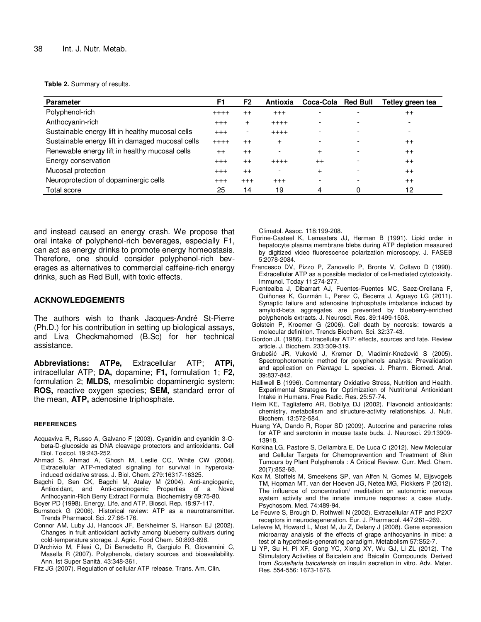**Table 2.** Summary of results.

| <b>Parameter</b>                                 |  | F <sub>2</sub> | Antioxia                 | Coca-Cola | <b>Red Bull</b> | Tetley green tea |
|--------------------------------------------------|--|----------------|--------------------------|-----------|-----------------|------------------|
| Polyphenol-rich                                  |  | $++$           | $^{+++}$                 |           |                 | $^{++}$          |
| Anthocyanin-rich                                 |  | $\pm$          | $++++$                   |           |                 |                  |
| Sustainable energy lift in healthy mucosal cells |  |                | $+++++$                  |           |                 | ۰                |
| Sustainable energy lift in damaged mucosal cells |  | $++$           | $^{+}$                   |           |                 | $^{++}$          |
| Renewable energy lift in healthy mucosal cells   |  | $++$           | $\overline{\phantom{a}}$ | $\ddot{}$ |                 | $^{++}$          |
| Energy conservation                              |  | $++$           | $+++++$                  | $^{++}$   |                 | $++$             |
| Mucosal protection                               |  | $++$           | $\overline{\phantom{a}}$ | $\ddot{}$ |                 | $^{++}$          |
| Neuroprotection of dopaminergic cells            |  | $+ + +$        | $^{+++}$                 |           |                 | $^{++}$          |
| Total score                                      |  | 14             | 19                       | 4         |                 | 12               |

and instead caused an energy crash. We propose that oral intake of polyphenol-rich beverages, especially F1, can act as energy drinks to promote energy homeostasis. Therefore, one should consider polyphenol-rich beverages as alternatives to commercial caffeine-rich energy drinks, such as Red Bull, with toxic effects.

## **ACKNOWLEDGEMENTS**

The authors wish to thank Jacques-André St-Pierre (Ph.D.) for his contribution in setting up biological assays, and Liva Checkmahomed (B.Sc) for her technical assistance.

**Abbreviations: ATPe,** Extracellular ATP; **ATPi,** intracellular ATP; **DA,** dopamine; **F1,** formulation 1; **F2,** formulation 2; **MLDS,** mesolimbic dopaminergic system; **ROS,** reactive oxygen species; **SEM,** standard error of the mean, **ATP,** adenosine triphosphate.

#### **REFERENCES**

- Acquaviva R, Russo A, Galvano F (2003). Cyanidin and cyanidin 3-Obeta-D-glucoside as DNA cleavage protectors and antioxidants. Cell Biol. Toxicol. 19:243-252.
- Ahmad S, Ahmad A, Ghosh M, Leslie CC, White CW (2004). Extracellular ATP-mediated signaling for survival in hyperoxiainduced oxidative stress. J. Biol. Chem. 279:16317-16325.
- Bagchi D, Sen CK, Bagchi M, Atalay M (2004). Anti-angiogenic, Antioxidant, and Anti-carcinogenic Properties of a Novel Anthocyanin-Rich Berry Extract Formula. Biochemistry 69:75-80.
- Boyer PD (1998). Energy, Life, and ATP. Biosci. Rep. 18:97-117.
- Burnstock G (2006). Historical review: ATP as a neurotransmitter. Trends Pharmacol. Sci. 27:66-176.
- Connor AM, Luby JJ, Hancock JF, Berkheimer S, Hanson EJ (2002). Changes in fruit antioxidant activity among blueberry cultivars during cold-temperature storage. J. Agric. Food Chem. 50:893-898.
- D'Archivio M, Filesi C, Di Benedetto R, Gargiulo R, Giovannini C, Masella R (2007). Polyphenols, dietary sources and bioavailability. Ann. Ist Super Sanità. 43:348-361.
- Fitz JG (2007). Regulation of cellular ATP release. Trans. Am. Clin.

Climatol. Assoc. 118:199-208.

- Florine-Casteel K, Lemasters JJ, Herman B (1991). Lipid order in hepatocyte plasma membrane blebs during ATP depletion measured by digitized video fluorescence polarization microscopy. J. FASEB 5:2078-2084.
- Francesco DV, Pizzo P, Zanovello P, Bronte V, Collavo D (1990). Extracellular ATP as a possible mediator of cell-mediated cytotoxicity. Immunol. Today 11:274-277.
- Fuentealba J, Dibarrart AJ, Fuentes-Fuentes MC, Saez-Orellana F, Quiñones K, Guzmán L, Perez C, Becerra J, Aguayo LG (2011). Synaptic failure and adenosine triphosphate imbalance induced by amyloid-beta aggregates are prevented by blueberry-enriched polyphenols extracts. J. Neurosci. Res. 89:1499-1508.
- Golstein P, Kroemer G (2006). Cell death by necrosis: towards a molecular definition. Trends Biochem. Sci. 32:37-43.
- Gordon JL (1986). Extracellular ATP: effects, sources and fate. Review article. J. Biochem. 233:309-319.
- Grubešić JR, Vuković J, Kremer D, Vladimir-Knežević S (2005). Spectrophotometric method for polyphenols analysis: Prevalidation and application on Plantago L. species. J. Pharm. Biomed. Anal. 39:837-842.
- Halliwell B (1996). Commentary Oxidative Stress, Nutrition and Health. Experimental Strategies for Optimization of Nutritional Antioxidant Intake in Humans. Free Radic. Res. 25:57-74.
- Heim KE, Tagliaferro AR, Bobilya DJ (2002). Flavonoid antioxidants: chemistry, metabolism and structure-activity relationships. J. Nutr. Biochem. 13:572-584.
- Huang YA, Dando R, Roper SD (2009). Autocrine and paracrine roles for ATP and serotonin in mouse taste buds. J. Neurosci. 29:13909- 13918.
- Korkina LG, Pastore S, Dellambra E, De Luca C (2012). New Molecular and Cellular Targets for Chemoprevention and Treatment of Skin Tumours by Plant Polyphenols : A Critical Review. Curr. Med. Chem. 20(7):852-68.
- Kox M, Stoffels M, Smeekens SP, van Alfen N, Gomes M, Eijsvogels TM, Hopman MT, van der Hoeven JG, Netea MG, Pickkers P (2012). The influence of concentration/ meditation on autonomic nervous system activity and the innate immune response: a case study. Psychosom. Med. 74:489-94.
- Le Feuvre S, Brough D, Rothwell N (2002). Extracellular ATP and P2X7 receptors in neurodegeneration. Eur. J. Pharmacol. 447:261–269.
- Lefevre M, Howard L, Most M, Ju Z, Delany J (2008). Gene expression microarray analysis of the effects of grape anthocyanins in mice: a test of a hypothesis-generating paradigm. Metabolism 57:S52-7.
- Li YP, Su H, Pi XF, Gong YC, Xiong XY, Wu GJ, Li ZL (2012). The Stimulatory Activities of Baicalein and Baicalin Compounds Derived from Scutellaria baicalensis on insulin secretion in vitro. Adv. Mater. Res. 554-556: 1673-1676.